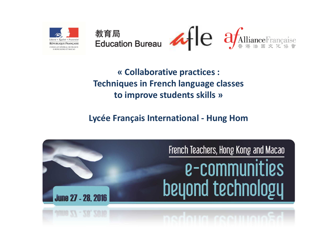

**« Collaborative practices :Techniques in French language classes to improve students skills »**

### **Lycée Français International - Hung Hom**

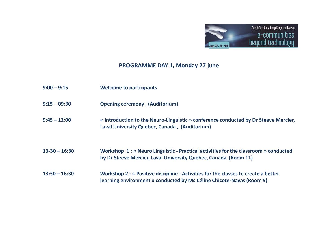

### **PROGRAMME DAY 1, Monday 27 june**

| $9:00 - 9:15$     | <b>Welcome to participants</b>                                                                                                                             |
|-------------------|------------------------------------------------------------------------------------------------------------------------------------------------------------|
| $9:15 - 09:30$    | <b>Opening ceremony, (Auditorium)</b>                                                                                                                      |
| $9:45 - 12:00$    | « Introduction to the Neuro-Linguistic » conference conducted by Dr Steeve Mercier,<br>Laval University Quebec, Canada, (Auditorium)                       |
| $13 - 30 - 16:30$ | Workshop 1: « Neuro Linguistic - Practical activities for the classroom » conducted<br>by Dr Steeve Mercier, Laval University Quebec, Canada (Room 11)     |
| $13:30 - 16:30$   | Workshop 2 : « Positive discipline - Activities for the classes to create a better<br>learning environment » conducted by Ms Céline Chicote-Navas (Room 9) |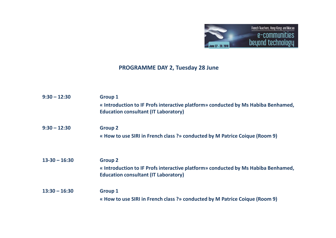

### **PROGRAMME DAY 2, Tuesday 28 June**

| $9:30 - 12:30$    | <b>Group 1</b><br>« Introduction to IF Profs interactive platform» conducted by Ms Habiba Benhamed,<br><b>Education consultant (IT Laboratory)</b> |
|-------------------|----------------------------------------------------------------------------------------------------------------------------------------------------|
| $9:30 - 12:30$    | <b>Group 2</b><br>« How to use SIRI in French class ?» conducted by M Patrice Coique (Room 9)                                                      |
| $13 - 30 - 16:30$ | <b>Group 2</b><br>« Introduction to IF Profs interactive platform» conducted by Ms Habiba Benhamed,<br><b>Education consultant (IT Laboratory)</b> |
| $13:30 - 16:30$   | <b>Group 1</b><br>« How to use SIRI in French class ?» conducted by M Patrice Coique (Room 9)                                                      |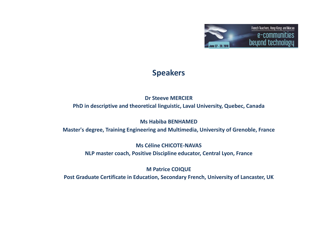

### **Speakers**

#### **Dr Steeve MERCIER**

**PhD in descriptive and theoretical linguistic, Laval University, Quebec, Canada** 

**Ms Habiba BENHAMED**

**Master's degree, Training Engineering and Multimedia, University of Grenoble, France**

**Ms Céline CHICOTE-NAVAS NLP master coach, Positive Discipline educator, Central Lyon, France**

**M Patrice COIQUE**

**Post Graduate Certificate in Education, Secondary French, University of Lancaster, UK**